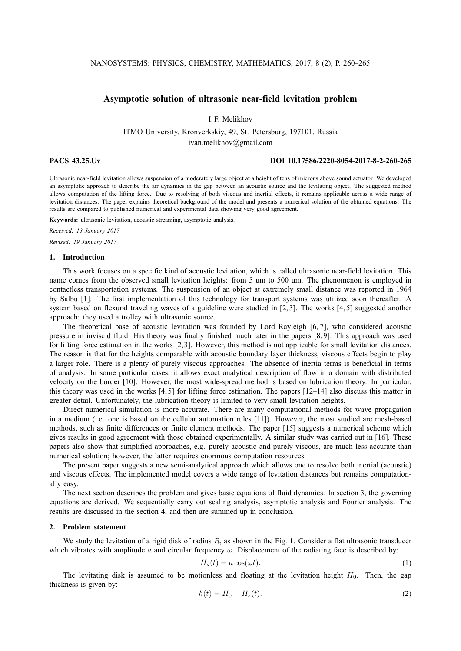# **Asymptotic solution of ultrasonic near-field levitation problem**

I. F. Melikhov

ITMO University, Kronverkskiy, 49, St. Petersburg, 197101, Russia

ivan.melikhov@gmail.com

# **PACS 43.25.Uv DOI 10.17586/2220-8054-2017-8-2-260-265**

Ultrasonic near-field levitation allows suspension of a moderately large object at a height of tens of microns above sound actuator. We developed an asymptotic approach to describe the air dynamics in the gap between an acoustic source and the levitating object. The suggested method allows computation of the lifting force. Due to resolving of both viscous and inertial effects, it remains applicable across a wide range of levitation distances. The paper explains theoretical background of the model and presents a numerical solution of the obtained equations. The results are compared to published numerical and experimental data showing very good agreement.

**Keywords:** ultrasonic levitation, acoustic streaming, asymptotic analysis.

*Received: 13 January 2017 Revised: 19 January 2017*

#### **1. Introduction**

This work focuses on a specific kind of acoustic levitation, which is called ultrasonic near-field levitation. This name comes from the observed small levitation heights: from 5 um to 500 um. The phenomenon is employed in contactless transportation systems. The suspension of an object at extremely small distance was reported in 1964 by Salbu [1]. The first implementation of this technology for transport systems was utilized soon thereafter. A system based on flexural traveling waves of a guideline were studied in  $[2, 3]$ . The works  $[4, 5]$  suggested another approach: they used a trolley with ultrasonic source.

The theoretical base of acoustic levitation was founded by Lord Rayleigh [6, 7], who considered acoustic pressure in inviscid fluid. His theory was finally finished much later in the papers [8, 9]. This approach was used for lifting force estimation in the works [2,3]. However, this method is not applicable for small levitation distances. The reason is that for the heights comparable with acoustic boundary layer thickness, viscous effects begin to play a larger role. There is a plenty of purely viscous approaches. The absence of inertia terms is beneficial in terms of analysis. In some particular cases, it allows exact analytical description of flow in a domain with distributed velocity on the border [10]. However, the most wide-spread method is based on lubrication theory. In particular, this theory was used in the works  $[4, 5]$  for lifting force estimation. The papers  $[12-14]$  also discuss this matter in greater detail. Unfortunately, the lubrication theory is limited to very small levitation heights.

Direct numerical simulation is more accurate. There are many computational methods for wave propagation in a medium (i.e. one is based on the cellular automation rules [11]). However, the most studied are mesh-based methods, such as finite differences or finite element methods. The paper [15] suggests a numerical scheme which gives results in good agreement with those obtained experimentally. A similar study was carried out in [16]. These papers also show that simplified approaches, e.g. purely acoustic and purely viscous, are much less accurate than numerical solution; however, the latter requires enormous computation resources.

The present paper suggests a new semi-analytical approach which allows one to resolve both inertial (acoustic) and viscous effects. The implemented model covers a wide range of levitation distances but remains computationally easy.

The next section describes the problem and gives basic equations of fluid dynamics. In section 3, the governing equations are derived. We sequentially carry out scaling analysis, asymptotic analysis and Fourier analysis. The results are discussed in the section 4, and then are summed up in conclusion.

### **2. Problem statement**

We study the levitation of a rigid disk of radius  $R$ , as shown in the Fig. 1. Consider a flat ultrasonic transducer which vibrates with amplitude a and circular frequency  $\omega$ . Displacement of the radiating face is described by:

$$
H_s(t) = a\cos(\omega t). \tag{1}
$$

The levitating disk is assumed to be motionless and floating at the levitation height  $H_0$ . Then, the gap thickness is given by:

$$
h(t) = H_0 - H_s(t).
$$
 (2)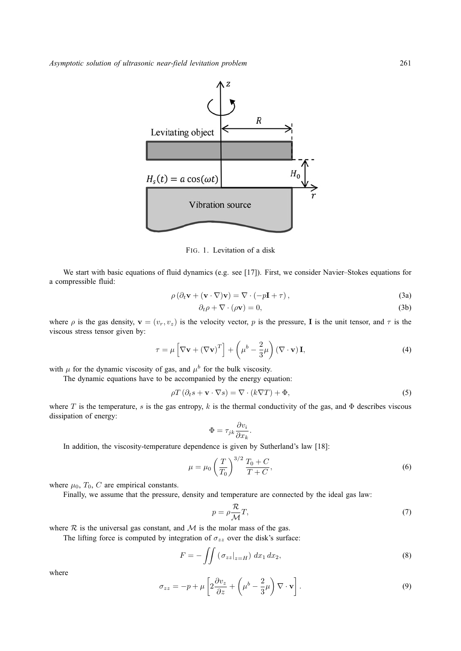

FIG. 1. Levitation of a disk

We start with basic equations of fluid dynamics (e.g. see [17]). First, we consider Navier–Stokes equations for a compressible fluid:

$$
\rho \left( \partial_t \mathbf{v} + (\mathbf{v} \cdot \nabla) \mathbf{v} \right) = \nabla \cdot (-p\mathbf{I} + \tau), \tag{3a}
$$

$$
\partial_t \rho + \nabla \cdot (\rho \mathbf{v}) = 0,\tag{3b}
$$

where  $\rho$  is the gas density,  $\mathbf{v} = (v_r, v_z)$  is the velocity vector, p is the pressure, I is the unit tensor, and  $\tau$  is the viscous stress tensor given by:

$$
\tau = \mu \left[ \nabla \mathbf{v} + (\nabla \mathbf{v})^T \right] + \left( \mu^b - \frac{2}{3} \mu \right) (\nabla \cdot \mathbf{v}) \mathbf{I},\tag{4}
$$

with  $\mu$  for the dynamic viscosity of gas, and  $\mu^b$  for the bulk viscosity.

The dynamic equations have to be accompanied by the energy equation:

$$
\rho T \left( \partial_t s + \mathbf{v} \cdot \nabla s \right) = \nabla \cdot (k \nabla T) + \Phi,\tag{5}
$$

where T is the temperature, s is the gas entropy, k is the thermal conductivity of the gas, and  $\Phi$  describes viscous dissipation of energy:

$$
\Phi = \tau_{jk} \frac{\partial v_i}{\partial x_k}.
$$

In addition, the viscosity-temperature dependence is given by Sutherland's law [18]:

$$
\mu = \mu_0 \left(\frac{T}{T_0}\right)^{3/2} \frac{T_0 + C}{T + C},\tag{6}
$$

where  $\mu_0$ ,  $T_0$ ,  $C$  are empirical constants.

Finally, we assume that the pressure, density and temperature are connected by the ideal gas law:

$$
p = \rho \frac{\mathcal{R}}{\mathcal{M}} T,\tag{7}
$$

where  $R$  is the universal gas constant, and  $M$  is the molar mass of the gas.

The lifting force is computed by integration of  $\sigma_{zz}$  over the disk's surface:

$$
F = -\iint \left( \left. \sigma_{zz} \right|_{z=H} \right) dx_1 dx_2,\tag{8}
$$

where

$$
\sigma_{zz} = -p + \mu \left[ 2 \frac{\partial v_z}{\partial z} + \left( \mu^b - \frac{2}{3} \mu \right) \nabla \cdot \mathbf{v} \right]. \tag{9}
$$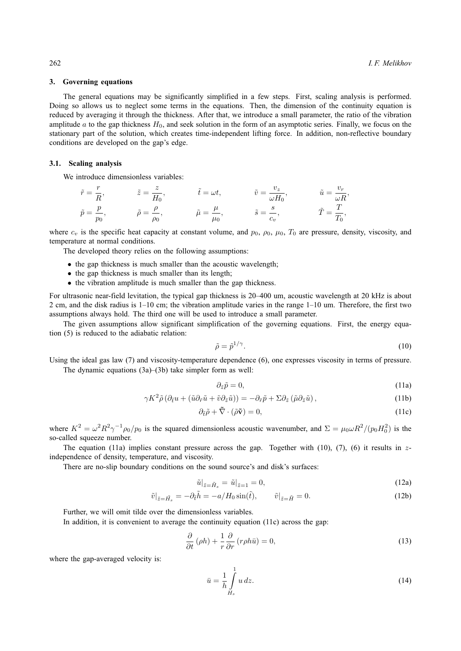#### **3. Governing equations**

The general equations may be significantly simplified in a few steps. First, scaling analysis is performed. Doing so allows us to neglect some terms in the equations. Then, the dimension of the continuity equation is reduced by averaging it through the thickness. After that, we introduce a small parameter, the ratio of the vibration amplitude  $a$  to the gap thickness  $H_0$ , and seek solution in the form of an asymptotic series. Finally, we focus on the stationary part of the solution, which creates time-independent lifting force. In addition, non-reflective boundary conditions are developed on the gap's edge.

# **3.1. Scaling analysis**

We introduce dimensionless variables:

$$
\begin{aligned}\n\tilde{r} &= \frac{r}{R}, & \tilde{z} &= \frac{z}{H_0}, & \tilde{t} &= \omega t, & \tilde{v} &= \frac{v_z}{\omega H_0}, & \tilde{u} &= \frac{v_r}{\omega R}, \\
\tilde{p} &= \frac{p}{p_0}, & \tilde{\rho} &= \frac{\rho}{\rho_0}, & \tilde{\mu} &= \frac{\mu}{\mu_0}, & \tilde{s} &= \frac{s}{c_v}, & \tilde{T} &= \frac{T}{T_0},\n\end{aligned}
$$

where  $c_v$  is the specific heat capacity at constant volume, and  $p_0$ ,  $\rho_0$ ,  $\mu_0$ ,  $T_0$  are pressure, density, viscosity, and temperature at normal conditions.

The developed theory relies on the following assumptions:

- the gap thickness is much smaller than the acoustic wavelength;
- the gap thickness is much smaller than its length;
- the vibration amplitude is much smaller than the gap thickness.

For ultrasonic near-field levitation, the typical gap thickness is 20–400 um, acoustic wavelength at 20 kHz is about 2 cm, and the disk radius is 1–10 cm; the vibration amplitude varies in the range 1–10 um. Therefore, the first two assumptions always hold. The third one will be used to introduce a small parameter.

The given assumptions allow significant simplification of the governing equations. First, the energy equation (5) is reduced to the adiabatic relation:

$$
\tilde{\rho} = \tilde{p}^{1/\gamma}.\tag{10}
$$

,

Using the ideal gas law (7) and viscosity-temperature dependence (6), one expresses viscosity in terms of pressure. The dynamic equations (3a)–(3b) take simpler form as well:

$$
\partial_{\tilde{z}}\tilde{p} = 0,\tag{11a}
$$

$$
\gamma K^2 \tilde{\rho} \left( \partial_{\tilde{t}} u + (\tilde{u} \partial_{\tilde{r}} \tilde{u} + \tilde{v} \partial_{\tilde{z}} \tilde{u}) \right) = -\partial_{\tilde{r}} \tilde{p} + \Sigma \partial_{\tilde{z}} \left( \tilde{\mu} \partial_{\tilde{z}} \tilde{u} \right), \tag{11b}
$$

$$
\partial_{\tilde{t}} \tilde{\rho} + \tilde{\nabla} \cdot (\tilde{\rho} \tilde{\mathbf{v}}) = 0, \tag{11c}
$$

where  $K^2 = \omega^2 R^2 \gamma^{-1} \rho_0 / p_0$  is the squared dimensionless acoustic wavenumber, and  $\Sigma = \mu_0 \omega R^2 / (p_0 H_0^2)$  is the so-called squeeze number.

The equation (11a) implies constant pressure across the gap. Together with (10), (7), (6) it results in  $z$ independence of density, temperature, and viscosity.

There are no-slip boundary conditions on the sound source's and disk's surfaces:

$$
\tilde{u}|_{\tilde{z} = \tilde{H}_s} = \tilde{u}|_{\tilde{z} = 1} = 0,\tag{12a}
$$

$$
\tilde{v}|_{\tilde{z} = \tilde{H}_s} = -\partial_{\tilde{t}}\tilde{h} = -a/H_0 \sin(\tilde{t}), \qquad \tilde{v}|_{\tilde{z} = \tilde{H}} = 0.
$$
\n(12b)

Further, we will omit tilde over the dimensionless variables.

In addition, it is convenient to average the continuity equation (11c) across the gap:

$$
\frac{\partial}{\partial t}(\rho h) + \frac{1}{r}\frac{\partial}{\partial r}(r\rho h\bar{u}) = 0,\tag{13}
$$

where the gap-averaged velocity is:

$$
\bar{u} = \frac{1}{h} \int_{H_s}^{1} u \, dz. \tag{14}
$$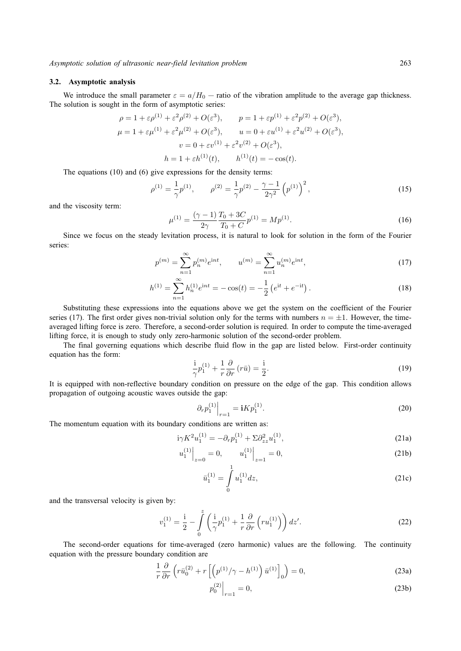# **3.2. Asymptotic analysis**

We introduce the small parameter  $\varepsilon = a/H_0$  – ratio of the vibration amplitude to the average gap thickness. The solution is sought in the form of asymptotic series:

$$
\rho = 1 + \varepsilon \rho^{(1)} + \varepsilon^2 \rho^{(2)} + O(\varepsilon^3), \qquad p = 1 + \varepsilon p^{(1)} + \varepsilon^2 p^{(2)} + O(\varepsilon^3),
$$
  
\n
$$
\mu = 1 + \varepsilon \mu^{(1)} + \varepsilon^2 \mu^{(2)} + O(\varepsilon^3), \qquad u = 0 + \varepsilon u^{(1)} + \varepsilon^2 u^{(2)} + O(\varepsilon^3),
$$
  
\n
$$
v = 0 + \varepsilon v^{(1)} + \varepsilon^2 v^{(2)} + O(\varepsilon^3),
$$
  
\n
$$
h = 1 + \varepsilon h^{(1)}(t), \qquad h^{(1)}(t) = -\cos(t).
$$

The equations (10) and (6) give expressions for the density terms:

$$
\rho^{(1)} = \frac{1}{\gamma} p^{(1)}, \qquad \rho^{(2)} = \frac{1}{\gamma} p^{(2)} - \frac{\gamma - 1}{2\gamma^2} \left( p^{(1)} \right)^2,\tag{15}
$$

and the viscosity term:

$$
\mu^{(1)} = \frac{(\gamma - 1)}{2\gamma} \frac{T_0 + 3C}{T_0 + C} p^{(1)} = M p^{(1)}.
$$
\n(16)

Since we focus on the steady levitation process, it is natural to look for solution in the form of the Fourier series:

$$
p^{(m)} = \sum_{n=1}^{\infty} p_n^{(m)} e^{\mathrm{i}nt}, \qquad u^{(m)} = \sum_{n=1}^{\infty} u_n^{(m)} e^{\mathrm{i}nt}, \tag{17}
$$

$$
h^{(1)} = \sum_{n=1}^{\infty} h_n^{(1)} e^{\mathrm{i}nt} = -\cos(t) = -\frac{1}{2} \left( e^{\mathrm{i}t} + e^{-\mathrm{i}t} \right). \tag{18}
$$

Substituting these expressions into the equations above we get the system on the coefficient of the Fourier series (17). The first order gives non-trivial solution only for the terms with numbers  $n = \pm 1$ . However, the timeaveraged lifting force is zero. Therefore, a second-order solution is required. In order to compute the time-averaged lifting force, it is enough to study only zero-harmonic solution of the second-order problem.

The final governing equations which describe fluid flow in the gap are listed below. First-order continuity equation has the form:

$$
\frac{\mathrm{i}}{\gamma}p_1^{(1)} + \frac{1}{r}\frac{\partial}{\partial r}\left(r\bar{u}\right) = \frac{\mathrm{i}}{2}.\tag{19}
$$

It is equipped with non-reflective boundary condition on pressure on the edge of the gap. This condition allows propagation of outgoing acoustic waves outside the gap:

$$
\left. \partial_r p_1^{(1)} \right|_{r=1} = \mathbf{i} K p_1^{(1)}.\tag{20}
$$

The momentum equation with its boundary conditions are written as:

$$
i\gamma K^2 u_1^{(1)} = -\partial_r p_1^{(1)} + \Sigma \partial_{zz}^2 u_1^{(1)}, \tag{21a}
$$

$$
u_1^{(1)}\Big|_{z=0} = 0, \qquad u_1^{(1)}\Big|_{z=1} = 0,\tag{21b}
$$

$$
\bar{u}_1^{(1)} = \int_0^1 u_1^{(1)} dz,
$$
\n(21c)

and the transversal velocity is given by:

$$
v_1^{(1)} = \frac{1}{2} - \int_0^z \left( \frac{1}{\gamma} p_1^{(1)} + \frac{1}{r} \frac{\partial}{\partial r} \left( r u_1^{(1)} \right) \right) dz'.
$$
 (22)

The second-order equations for time-averaged (zero harmonic) values are the following. The continuity equation with the pressure boundary condition are

$$
\frac{1}{r}\frac{\partial}{\partial r}\left(r\bar{u}_0^{(2)} + r\left[\left(p^{(1)}/\gamma - h^{(1)}\right)\bar{u}^{(1)}\right]_0\right) = 0,\tag{23a}
$$

$$
p_0^{(2)}\Big|_{r=1} = 0,\t\t(23b)
$$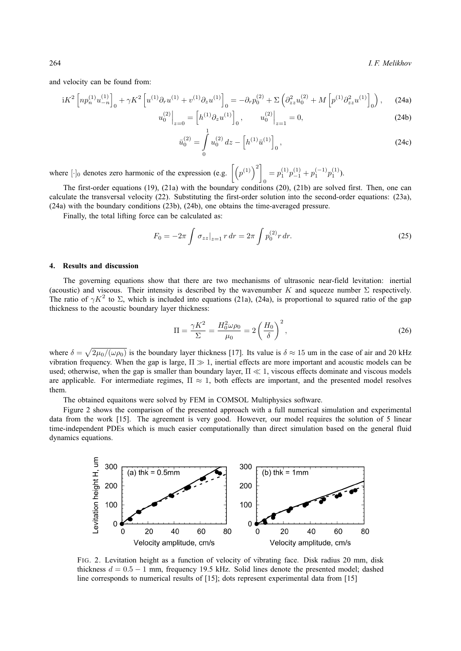and velocity can be found from:

$$
iK^2 \left[ np_n^{(1)} u_{-n}^{(1)} \right]_0 + \gamma K^2 \left[ u^{(1)} \partial_r u^{(1)} + v^{(1)} \partial_z u^{(1)} \right]_0 = -\partial_r p_0^{(2)} + \Sigma \left( \partial_{zz}^2 u_0^{(2)} + M \left[ p^{(1)} \partial_{zz}^2 u^{(1)} \right]_0 \right), \tag{24a}
$$

$$
u_0^{(2)}\Big|_{z=0} = \left[h^{(1)}\partial_z u^{(1)}\right]_0, \qquad u_0^{(2)}\Big|_{z=1} = 0,\tag{24b}
$$

$$
\bar{u}_0^{(2)} = \int_0^{\cdot} u_0^{(2)} dz - \left[ h^{(1)} \bar{u}^{(1)} \right]_0, \qquad (24c)
$$

where  $[\cdot]_0$  denotes zero harmonic of the expression (e.g.  $[(p^{(1)})^2]$ )  $\mathbf 0$  $=p_1^{(1)}p_{-1}^{(1)}+p_1^{(-1)}p_1^{(1)}$ 

The first-order equations (19), (21a) with the boundary conditions (20), (21b) are solved first. Then, one can calculate the transversal velocity (22). Substituting the first-order solution into the second-order equations: (23a), (24a) with the boundary conditions (23b), (24b), one obtains the time-averaged pressure.

Finally, the total lifting force can be calculated as:

$$
F_0 = -2\pi \int \sigma_{zz} \vert_{z=1} r \, dr = 2\pi \int p_0^{(2)} r \, dr. \tag{25}
$$

# **4. Results and discussion**

The governing equations show that there are two mechanisms of ultrasonic near-field levitation: inertial (acoustic) and viscous. Their intensity is described by the wavenumber K and squeeze number  $\Sigma$  respectively. The ratio of  $\gamma K^2$  to  $\Sigma$ , which is included into equations (21a), (24a), is proportional to squared ratio of the gap thickness to the acoustic boundary layer thickness:

$$
\Pi = \frac{\gamma K^2}{\Sigma} = \frac{H_0^2 \omega \rho_0}{\mu_0} = 2 \left(\frac{H_0}{\delta}\right)^2,\tag{26}
$$

where  $\delta = \sqrt{2\mu_0/(\omega \rho_0)}$  is the boundary layer thickness [17]. Its value is  $\delta \approx 15$  um in the case of air and 20 kHz vibration frequency. When the gap is large,  $\Pi \gg 1$ , inertial effects are more important and acoustic models can be used; otherwise, when the gap is smaller than boundary layer,  $\Pi \ll 1$ , viscous effects dominate and viscous models are applicable. For intermediate regimes,  $\Pi \approx 1$ , both effects are important, and the presented model resolves them.

The obtained equaitons were solved by FEM in COMSOL Multiphysics software.

Figure 2 shows the comparison of the presented approach with a full numerical simulation and experimental data from the work [15]. The agreement is very good. However, our model requires the solution of 5 linear time-independent PDEs which is much easier computationally than direct simulation based on the general fluid dynamics equations.



FIG. 2. Levitation height as a function of velocity of vibrating face. Disk radius 20 mm, disk thickness  $d = 0.5 - 1$  mm, frequency 19.5 kHz. Solid lines denote the presented model; dashed line corresponds to numerical results of [15]; dots represent experimental data from [15]